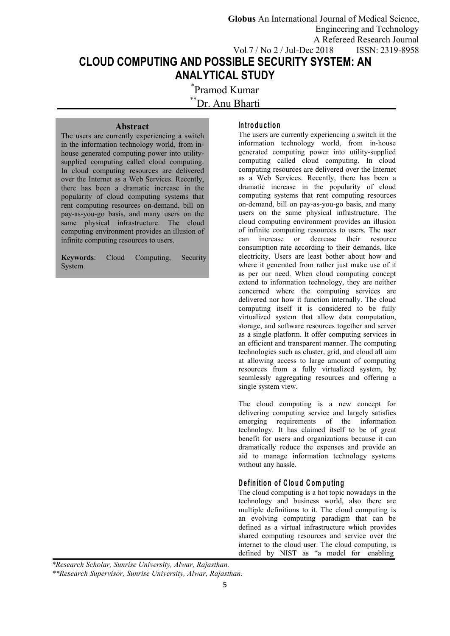**CLOUD COMPUTING AND POSSIBLE SECURITY SYSTEM: AN Globus** An International Journal of Medical Science, Engineering and Technology A Refereed Research Journal Vol 7 / No 2 / Jul-Dec 2018 ISSN: 2319-8958

**ANALYTICAL STUDY** \*Pramod Kumar

\*\*Dr. Anu Bharti

## **Abstract**

The users are currently experiencing a switch in the information technology world, from in house generated computing power into utility supplied computing called cloud computing. In cloud computing resources are delivered over the Internet as a Web Services. Recently, there has been a dramatic increase in the popularity of cloud computing systems that rent computing resources on-demand, bill on pay-as-you-go basis, and many users on the same physical infrastructure. The cloud computing environment provides an illusion of of infinite computing recourse to users can increase infinite computing resources to users.

**Keywords**: Cloud Computing, Security System.

#### **In tro d u c tio n**

The users are currently experiencing a switch in the information technology world, from in-house generated computing power into utility-supplied computing called cloud computing. In cloud computing resources are delivered over the Internet as a Web Services. Recently, there has been a dramatic increase in the popularity of cloud computing systems that rent computing resources on-demand, bill on pay-as-you-go basis, and many users on the same physical infrastructure. The cloud computing environment provides an illusion of infinite computing resources to users. The user can increase or decrease their resource consumption rate according to their demands, like electricity. Users are least bother about how and where it generated from rather just make use of it as per our need. When cloud computing concept extend to information technology, they are neither concerned where the computing services are delivered nor how it function internally. The cloud computing itself it is considered to be fully virtualized system that allow data computation, storage, and software resources together and server as a single platform. It offer computing services in an efficient and transparent manner. The computing technologies such as cluster, grid, and cloud all aim at allowing access to large amount of computing resources from a fully virtualized system, by seamlessly aggregating resources and offering a single system view.

The cloud computing is a new concept for delivering computing service and largely satisfies emerging requirements of the information technology. It has claimed itself to be of great benefit for users and organizations because it can dramatically reduce the expenses and provide an aid to manage information technology systems without any hassle.

# **D e fin itio n o f C lo u d C om pu tin g**

The cloud computing is a hot topic nowadays in the technology and business world, also there are multiple definitions to it. The cloud computing is an evolving computing paradigm that can be defined as a virtual infrastructure which provides shared computing resources and service over the internet to the cloud user. The cloud computing, is defined by NIST as "a model for enabling

*<sup>\*</sup>Research Scholar, Sunrise University, Alwar, Rajasthan.*

*<sup>\*\*</sup>Research Supervisor, Sunrise University, Alwar, Rajasthan.*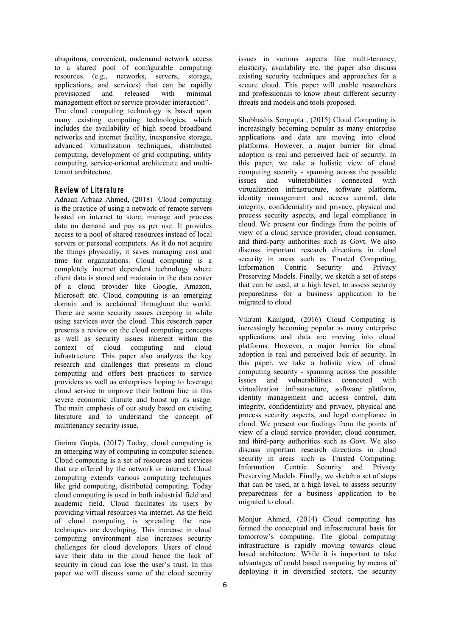ubiquitous, convenient, ondemand network access to a shared pool of configurable computing resources (e.g., networks, servers, storage, applications, and services) that can be rapidly provisioned and released with minimal management effort or service provider interaction". The cloud computing technology is based upon many existing computing technologies, which includes the availability of high speed broadband networks and internet facility, inexpensive storage, advanced virtualization techniques, distributed computing, development of grid computing, utility computing, service-oriented architecture and multitenant architecture.

### **R e v iew o f L ite ra tu re**

Adnaan Arbaaz Ahmed,(2018) Cloud computing is the practice of using a network of remote servers hosted on internet to store, manage and process data on demand and pay as per use. It provides access to a pool of shared resources instead of local servers or personal computers. As it do not acquire the things physically, it saves managing cost and time for organizations. Cloud computing is a completely internet dependent technology where client data is stored and maintain in the data center of a cloud provider like Google, Amazon, Microsoft etc. Cloud computing is an emerging domain and is acclaimed throughout the world. There are some security issues creeping in while using services over the cloud. This research paper presents a review on the cloud computing concepts as well as security issues inherent within the context of cloud computing and cloud infrastructure. This paper also analyzes the key research and challenges that presents in cloud computing and offers best practices to service providers as well as enterprises hoping to leverage cloud service to improve their bottom line in this severe economic climate and boost up its usage. The main emphasis of our study based on existing literature and to understand the concept of multitenancy security issue.

Garima Gupta, (2017) Today, cloud computing is an emerging way of computing in computer science. Cloud computing is a set of resources and services that are offered by the network or internet. Cloud computing extends various computing techniques like grid computing, distributed computing. Today cloud computing is used in both industrial field and academic field. Cloud facilitates its users by providing virtual resources via internet. As the field of cloud computing is spreading the new techniques are developing. This increase in cloud computing environment also increases security challenges for cloud developers. Users of cloud save their data in the cloud hence the lack of security in cloud can lose the user's trust. In this paper we will discuss some of the cloud security

issues in various aspects like multi-tenancy, elasticity, availability etc. the paper also discuss existing security techniques and approaches for a secure cloud. This paper will enable researchers and professionals to know about different security threats and models and tools proposed.

[Shubhashis](https://ieeexplore.ieee.org/search/searchresult.jsp?searchWithin=%22First%20Name%22:%22Shubhashis%22&searchWithin=%22Last%20Name%22:%22Sengupta%22&newsearch=true&sortType=newest) Sengupta , (2015) Cloud Computing is increasingly becoming popular as many enterprise applications and data are moving into cloud platforms. However, a major barrier for cloud adoption is real and perceived lack of security. In this paper, we take a holistic view of cloud computing security - spanning across the possible issues and vulnerabilities connected with virtualization infrastructure, software platform, identity management and access control, data integrity, confidentiality and privacy, physical and process security aspects, and legal compliance in cloud. We present our findings from the points of view of a cloud service provider, cloud consumer, and third-party authorities such as Govt. We also discuss important research directions in cloud security in areas such as Trusted Computing,<br>Information Centric Security and Privacy Information Centric Security and Privacy Preserving Models. Finally, we sketch a set of steps that can be used, at a high level, to assess security preparedness for a business application to be migrated to cloud

Vikrant [Kaulgud](https://www.researchgate.net/profile/Vikrant_Kaulgud), (2016) Cloud Computing is increasingly becoming popular as many enterprise applications and data are moving into cloud platforms. However, a major barrier for cloud adoption is real and perceived lack of security. In this paper, we take a holistic view of cloud computing security - spanning across the possible issues and vulnerabilities connected with virtualization infrastructure, software platform, identity management and access control, data integrity, confidentiality and privacy, physical and process security aspects, and legal compliance in cloud. We present our findings from the points of view of a cloud service provider, cloud consumer, and third-party authorities such as Govt. We also discuss important research directions in cloud security in areas such as Trusted Computing, Information Centric Security and Privacy Preserving Models. Finally, we sketch a set of steps that can be used, at a high level, to assess security preparedness for a business application to be migrated to cloud.

Monjur Ahmed, (2014) Cloud computing has formed the conceptual and infrastructural basis for tomorrow's computing. The global computing infrastructure is rapidly moving towards cloud based architecture. While it is important to take advantages of could based computing by means of deploying it in diversified sectors, the security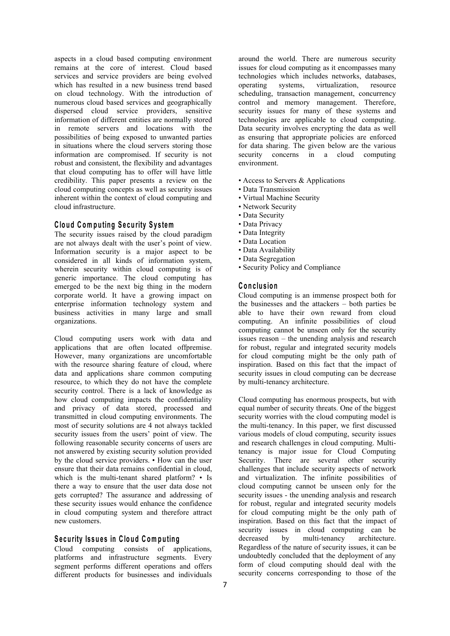aspects in a cloud based computing environment remains at the core of interest. Cloud based services and service providers are being evolved which has resulted in a new business trend based operating systems, on cloud technology. With the introduction of numerous cloud based services and geographically dispersed cloud service providers, sensitive information of different entities are normally stored in remote servers and locations with the possibilities of being exposed to unwanted parties in situations where the cloud servers storing those information are compromised. If security is not robust and consistent, the flexibility and advantages that cloud computing has to offer will have little credibility. This paper presents a review on the cloud computing concepts as well as security issues inherent within the context of cloud computing and cloud infrastructure.

### **C lo u d C om pu tin g Se cu rity Sy s tem**

The security issues raised by the cloud paradigm are not always dealt with the user's point of view. Information security is a major aspect to be considered in all kinds of information system, wherein security within cloud computing is of generic importance. The cloud computing has emerged to be the next big thing in the modern corporate world. It have a growing impact on enterprise information technology system and business activities in many large and small organizations.

Cloud computing users work with data and applications that are often located offpremise. However, many organizations are uncomfortable with the resource sharing feature of cloud, where data and applications share common computing resource, to which they do not have the complete security control. There is a lack of knowledge as how cloud computing impacts the confidentiality and privacy of data stored, processed and transmitted in cloud computing environments. The most of security solutions are 4 not always tackled security issues from the users' point of view. The following reasonable security concerns of users are not answered by existing security solution provided by the cloud service providers. • How can the user ensure that their data remains confidential in cloud, which is the multi-tenant shared platform? • Is there a way to ensure that the user data dose not gets corrupted? The assurance and addressing of these security issues would enhance the confidence in cloud computing system and therefore attract new customers.

# **Security** Issues in Cloud Computing **Example 2** decreased by

Cloud computing consists of applications, platforms and infrastructure segments. Every segment performs different operations and offers different products for businesses and individuals around the world. There are numerous security issues for cloud computing as it encompasses many technologies which includes networks, databases, virtualization, resource scheduling, transaction management, concurrency control and memory management. Therefore, security issues for many of these systems and technologies are applicable to cloud computing. Data security involves encrypting the data as well as ensuring that appropriate policies are enforced for data sharing. The given below are the various security concerns in a cloud computing environment.

- Access to Servers & Applications
- Data Transmission
- Virtual Machine Security
- Network Security
- Data Security
- Data Privacy
- Data Integrity
- Data Location
- Data Availability
- Data Segregation
- Security Policy and Compliance

#### $C$  onclusion

Cloud computing is an immense prospect both for the businesses and the attackers – both parties be able to have their own reward from cloud computing. An infinite possibilities of cloud computing cannot be unseen only for the security issues reason – the unending analysis and research for robust, regular and integrated security models for cloud computing might be the only path of inspiration. Based on this fact that the impact of security issues in cloud computing can be decrease by multi-tenancy architecture.

Cloud computing has enormous prospects, but with equal number of security threats. One of the biggest security worries with the cloud computing model is the multi-tenancy. In this paper, we first discussed various models of cloud computing, security issues and research challenges in cloud computing. Multitenancy is major issue for Cloud Computing Security. There are several other security challenges that include security aspects of network and virtualization. The infinite possibilities of cloud computing cannot be unseen only for the security issues - the unending analysis and research for robust, regular and integrated security models for cloud computing might be the only path of inspiration. Based on this fact that the impact of security issues in cloud computing can be multi-tenancy architecture. Regardless of the nature of security issues, it can be undoubtedly concluded that the deployment of any form of cloud computing should deal with the security concerns corresponding to those of the